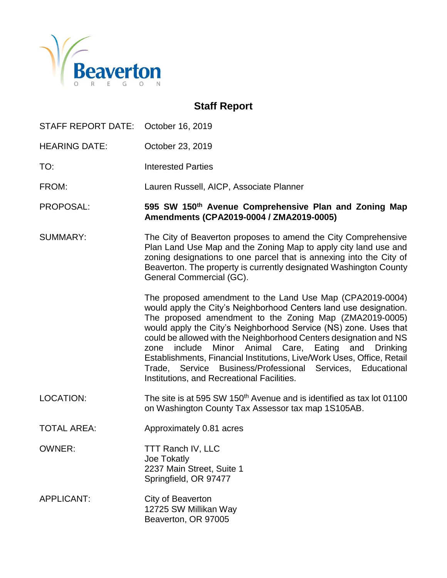

## **Staff Report**

STAFF REPORT DATE: October 16, 2019 HEARING DATE: October 23, 2019 TO: Interested Parties FROM: Lauren Russell, AICP, Associate Planner PROPOSAL: **595 SW 150th Avenue Comprehensive Plan and Zoning Map Amendments (CPA2019-0004 / ZMA2019-0005)** SUMMARY: The City of Beaverton proposes to amend the City Comprehensive Plan Land Use Map and the Zoning Map to apply city land use and zoning designations to one parcel that is annexing into the City of Beaverton. The property is currently designated Washington County General Commercial (GC). The proposed amendment to the Land Use Map (CPA2019-0004) would apply the City's Neighborhood Centers land use designation. The proposed amendment to the Zoning Map (ZMA2019-0005) would apply the City's Neighborhood Service (NS) zone. Uses that could be allowed with the Neighborhood Centers designation and NS zone include Minor Animal Care, Eating and Drinking Establishments, Financial Institutions, Live/Work Uses, Office, Retail Trade, Service Business/Professional Services, Educational Institutions, and Recreational Facilities. LOCATION: The site is at 595 SW 150<sup>th</sup> Avenue and is identified as tax lot 01100 on Washington County Tax Assessor tax map 1S105AB. TOTAL AREA: Approximately 0.81 acres OWNER: TTT Ranch IV, LLC Joe Tokatly

APPLICANT: City of Beaverton 12725 SW Millikan Way Beaverton, OR 97005

2237 Main Street, Suite 1 Springfield, OR 97477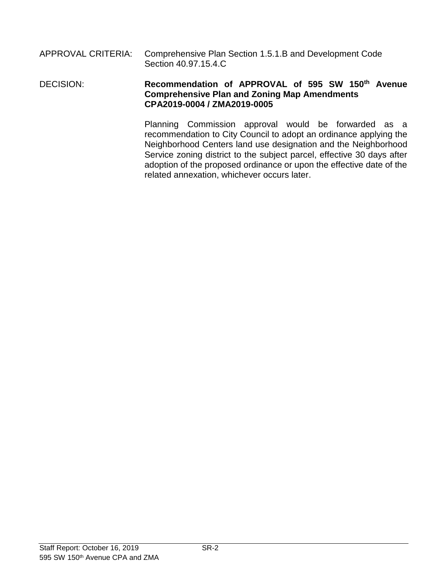### APPROVAL CRITERIA: Comprehensive Plan Section 1.5.1.B and Development Code Section 40.97.15.4.C

### DECISION: **Recommendation of APPROVAL of 595 SW 150th Avenue Comprehensive Plan and Zoning Map Amendments CPA2019-0004 / ZMA2019-0005**

Planning Commission approval would be forwarded as a recommendation to City Council to adopt an ordinance applying the Neighborhood Centers land use designation and the Neighborhood Service zoning district to the subject parcel, effective 30 days after adoption of the proposed ordinance or upon the effective date of the related annexation, whichever occurs later.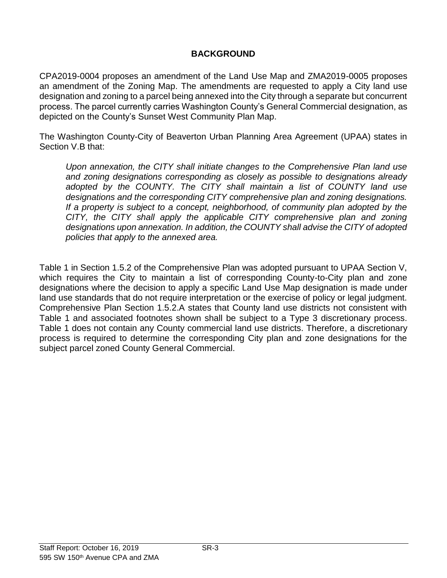## **BACKGROUND**

CPA2019-0004 proposes an amendment of the Land Use Map and ZMA2019-0005 proposes an amendment of the Zoning Map. The amendments are requested to apply a City land use designation and zoning to a parcel being annexed into the City through a separate but concurrent process. The parcel currently carries Washington County's General Commercial designation, as depicted on the County's Sunset West Community Plan Map.

The Washington County-City of Beaverton Urban Planning Area Agreement (UPAA) states in Section V.B that:

*Upon annexation, the CITY shall initiate changes to the Comprehensive Plan land use and zoning designations corresponding as closely as possible to designations already adopted by the COUNTY. The CITY shall maintain a list of COUNTY land use designations and the corresponding CITY comprehensive plan and zoning designations. If a property is subject to a concept, neighborhood, of community plan adopted by the CITY, the CITY shall apply the applicable CITY comprehensive plan and zoning designations upon annexation. In addition, the COUNTY shall advise the CITY of adopted policies that apply to the annexed area.*

Table 1 in Section 1.5.2 of the Comprehensive Plan was adopted pursuant to UPAA Section V, which requires the City to maintain a list of corresponding County-to-City plan and zone designations where the decision to apply a specific Land Use Map designation is made under land use standards that do not require interpretation or the exercise of policy or legal judgment. Comprehensive Plan Section 1.5.2.A states that County land use districts not consistent with Table 1 and associated footnotes shown shall be subject to a Type 3 discretionary process. Table 1 does not contain any County commercial land use districts. Therefore, a discretionary process is required to determine the corresponding City plan and zone designations for the subject parcel zoned County General Commercial.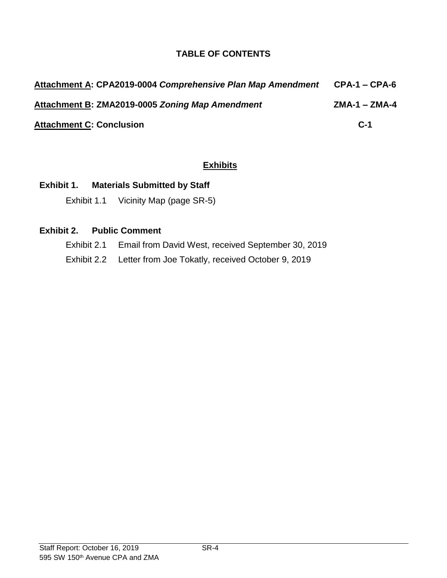## **TABLE OF CONTENTS**

| Attachment A: CPA2019-0004 Comprehensive Plan Map Amendment | <b>CPA-1 – CPA-6</b> |
|-------------------------------------------------------------|----------------------|
| Attachment B: ZMA2019-0005 Zoning Map Amendment             | $ZMA-1 - ZMA-4$      |
| <b>Attachment C: Conclusion</b>                             | $C-1$                |

## **Exhibits**

## **Exhibit 1. Materials Submitted by Staff**

Exhibit 1.1 Vicinity Map (page SR-5)

## **Exhibit 2. Public Comment**

- Exhibit 2.1 Email from David West, received September 30, 2019
- Exhibit 2.2 Letter from Joe Tokatly, received October 9, 2019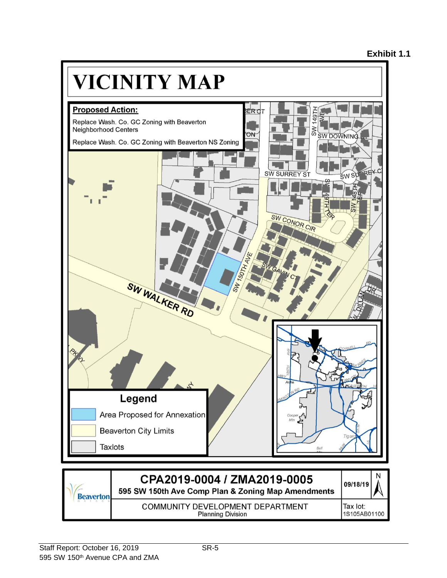

**Planning Division**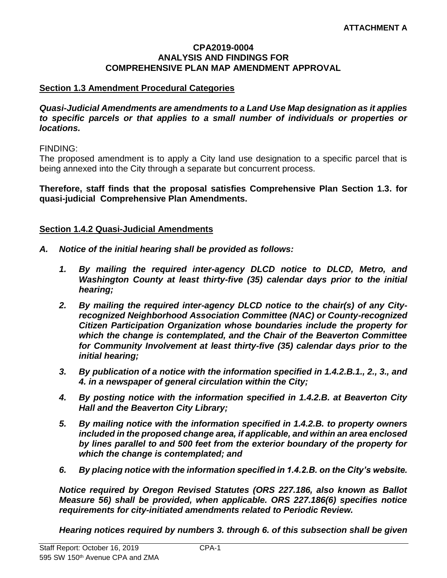#### **CPA2019-0004 ANALYSIS AND FINDINGS FOR COMPREHENSIVE PLAN MAP AMENDMENT APPROVAL**

### **Section 1.3 Amendment Procedural Categories**

*Quasi-Judicial Amendments are amendments to a Land Use Map designation as it applies to specific parcels or that applies to a small number of individuals or properties or locations.*

FINDING:

The proposed amendment is to apply a City land use designation to a specific parcel that is being annexed into the City through a separate but concurrent process.

**Therefore, staff finds that the proposal satisfies Comprehensive Plan Section 1.3. for quasi-judicial Comprehensive Plan Amendments.**

#### **Section 1.4.2 Quasi-Judicial Amendments**

- *A. Notice of the initial hearing shall be provided as follows:*
	- *1. By mailing the required inter-agency DLCD notice to DLCD, Metro, and Washington County at least thirty-five (35) calendar days prior to the initial hearing;*
	- *2. By mailing the required inter-agency DLCD notice to the chair(s) of any Cityrecognized Neighborhood Association Committee (NAC) or County-recognized Citizen Participation Organization whose boundaries include the property for which the change is contemplated, and the Chair of the Beaverton Committee for Community Involvement at least thirty-five (35) calendar days prior to the initial hearing;*
	- *3. By publication of a notice with the information specified in 1.4.2.B.1., 2., 3., and 4. in a newspaper of general circulation within the City;*
	- *4. By posting notice with the information specified in 1.4.2.B. at Beaverton City Hall and the Beaverton City Library;*
	- *5. By mailing notice with the information specified in 1.4.2.B. to property owners included in the proposed change area, if applicable, and within an area enclosed by lines parallel to and 500 feet from the exterior boundary of the property for which the change is contemplated; and*
	- *6. By placing notice with the information specified in 1.4.2.B. on the City's website.*

*Notice required by Oregon Revised Statutes (ORS 227.186, also known as Ballot Measure 56) shall be provided, when applicable. ORS 227.186(6) specifies notice requirements for city-initiated amendments related to Periodic Review.*

*Hearing notices required by numbers 3. through 6. of this subsection shall be given*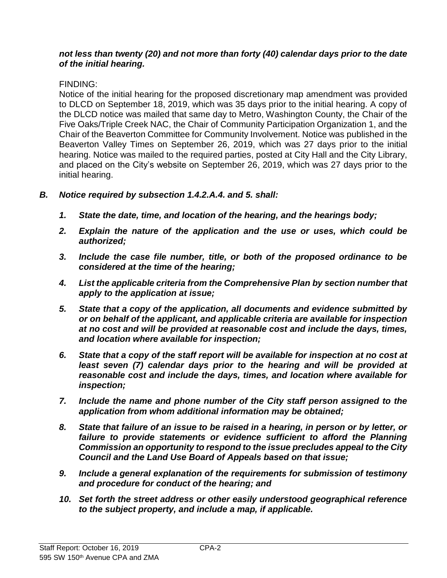### *not less than twenty (20) and not more than forty (40) calendar days prior to the date of the initial hearing.*

## FINDING:

Notice of the initial hearing for the proposed discretionary map amendment was provided to DLCD on September 18, 2019, which was 35 days prior to the initial hearing. A copy of the DLCD notice was mailed that same day to Metro, Washington County, the Chair of the Five Oaks/Triple Creek NAC, the Chair of Community Participation Organization 1, and the Chair of the Beaverton Committee for Community Involvement. Notice was published in the Beaverton Valley Times on September 26, 2019, which was 27 days prior to the initial hearing. Notice was mailed to the required parties, posted at City Hall and the City Library, and placed on the City's website on September 26, 2019, which was 27 days prior to the initial hearing.

- *B. Notice required by subsection 1.4.2.A.4. and 5. shall:*
	- *1. State the date, time, and location of the hearing, and the hearings body;*
	- *2. Explain the nature of the application and the use or uses, which could be authorized;*
	- *3. Include the case file number, title, or both of the proposed ordinance to be considered at the time of the hearing;*
	- *4. List the applicable criteria from the Comprehensive Plan by section number that apply to the application at issue;*
	- *5. State that a copy of the application, all documents and evidence submitted by or on behalf of the applicant, and applicable criteria are available for inspection at no cost and will be provided at reasonable cost and include the days, times, and location where available for inspection;*
	- *6. State that a copy of the staff report will be available for inspection at no cost at least seven (7) calendar days prior to the hearing and will be provided at reasonable cost and include the days, times, and location where available for inspection;*
	- *7. Include the name and phone number of the City staff person assigned to the application from whom additional information may be obtained;*
	- *8. State that failure of an issue to be raised in a hearing, in person or by letter, or*  failure to provide statements or evidence sufficient to afford the Planning *Commission an opportunity to respond to the issue precludes appeal to the City Council and the Land Use Board of Appeals based on that issue;*
	- *9. Include a general explanation of the requirements for submission of testimony and procedure for conduct of the hearing; and*
	- *10. Set forth the street address or other easily understood geographical reference to the subject property, and include a map, if applicable.*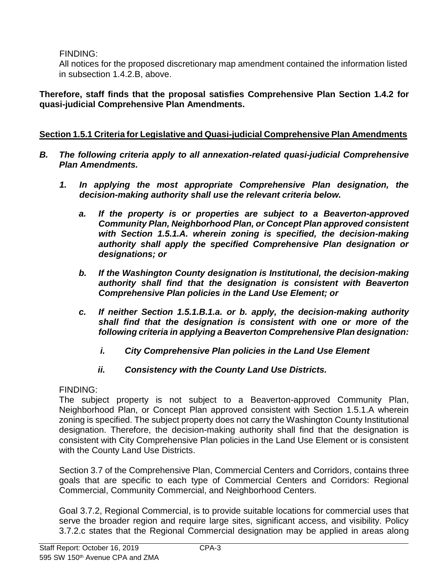FINDING:

All notices for the proposed discretionary map amendment contained the information listed in subsection 1.4.2.B, above.

**Therefore, staff finds that the proposal satisfies Comprehensive Plan Section 1.4.2 for quasi-judicial Comprehensive Plan Amendments.**

## **Section 1.5.1 Criteria for Legislative and Quasi-judicial Comprehensive Plan Amendments**

- *B. The following criteria apply to all annexation-related quasi-judicial Comprehensive Plan Amendments.*
	- *1. In applying the most appropriate Comprehensive Plan designation, the decision-making authority shall use the relevant criteria below.*
		- *a. If the property is or properties are subject to a Beaverton-approved Community Plan, Neighborhood Plan, or Concept Plan approved consistent with Section 1.5.1.A. wherein zoning is specified, the decision-making authority shall apply the specified Comprehensive Plan designation or designations; or*
		- *b. If the Washington County designation is Institutional, the decision-making authority shall find that the designation is consistent with Beaverton Comprehensive Plan policies in the Land Use Element; or*
		- *c. If neither Section 1.5.1.B.1.a. or b. apply, the decision-making authority shall find that the designation is consistent with one or more of the following criteria in applying a Beaverton Comprehensive Plan designation:*
			- *i. City Comprehensive Plan policies in the Land Use Element*
			- *ii. Consistency with the County Land Use Districts.*

FINDING:

The subject property is not subject to a Beaverton-approved Community Plan, Neighborhood Plan, or Concept Plan approved consistent with Section 1.5.1.A wherein zoning is specified. The subject property does not carry the Washington County Institutional designation. Therefore, the decision-making authority shall find that the designation is consistent with City Comprehensive Plan policies in the Land Use Element or is consistent with the County Land Use Districts.

Section 3.7 of the Comprehensive Plan, Commercial Centers and Corridors, contains three goals that are specific to each type of Commercial Centers and Corridors: Regional Commercial, Community Commercial, and Neighborhood Centers.

Goal 3.7.2, Regional Commercial, is to provide suitable locations for commercial uses that serve the broader region and require large sites, significant access, and visibility. Policy 3.7.2.c states that the Regional Commercial designation may be applied in areas along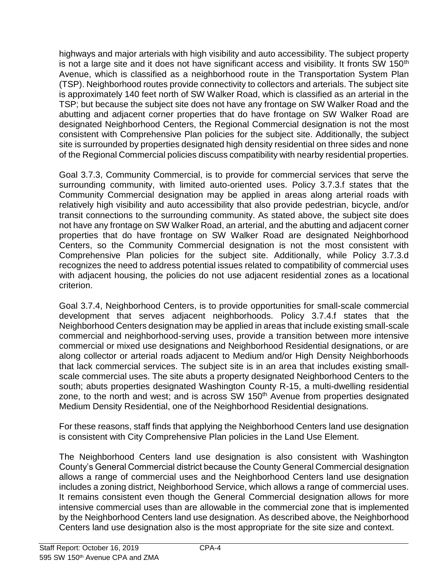highways and major arterials with high visibility and auto accessibility. The subject property is not a large site and it does not have significant access and visibility. It fronts SW 150<sup>th</sup> Avenue, which is classified as a neighborhood route in the Transportation System Plan (TSP). Neighborhood routes provide connectivity to collectors and arterials. The subject site is approximately 140 feet north of SW Walker Road, which is classified as an arterial in the TSP; but because the subject site does not have any frontage on SW Walker Road and the abutting and adjacent corner properties that do have frontage on SW Walker Road are designated Neighborhood Centers, the Regional Commercial designation is not the most consistent with Comprehensive Plan policies for the subject site. Additionally, the subject site is surrounded by properties designated high density residential on three sides and none of the Regional Commercial policies discuss compatibility with nearby residential properties.

Goal 3.7.3, Community Commercial, is to provide for commercial services that serve the surrounding community, with limited auto-oriented uses. Policy 3.7.3.f states that the Community Commercial designation may be applied in areas along arterial roads with relatively high visibility and auto accessibility that also provide pedestrian, bicycle, and/or transit connections to the surrounding community. As stated above, the subject site does not have any frontage on SW Walker Road, an arterial, and the abutting and adjacent corner properties that do have frontage on SW Walker Road are designated Neighborhood Centers, so the Community Commercial designation is not the most consistent with Comprehensive Plan policies for the subject site. Additionally, while Policy 3.7.3.d recognizes the need to address potential issues related to compatibility of commercial uses with adjacent housing, the policies do not use adjacent residential zones as a locational criterion.

Goal 3.7.4, Neighborhood Centers, is to provide opportunities for small-scale commercial development that serves adjacent neighborhoods. Policy 3.7.4.f states that the Neighborhood Centers designation may be applied in areas that include existing small-scale commercial and neighborhood-serving uses, provide a transition between more intensive commercial or mixed use designations and Neighborhood Residential designations, or are along collector or arterial roads adjacent to Medium and/or High Density Neighborhoods that lack commercial services. The subject site is in an area that includes existing smallscale commercial uses. The site abuts a property designated Neighborhood Centers to the south; abuts properties designated Washington County R-15, a multi-dwelling residential zone, to the north and west; and is across SW 150<sup>th</sup> Avenue from properties designated Medium Density Residential, one of the Neighborhood Residential designations.

For these reasons, staff finds that applying the Neighborhood Centers land use designation is consistent with City Comprehensive Plan policies in the Land Use Element.

The Neighborhood Centers land use designation is also consistent with Washington County's General Commercial district because the County General Commercial designation allows a range of commercial uses and the Neighborhood Centers land use designation includes a zoning district, Neighborhood Service, which allows a range of commercial uses. It remains consistent even though the General Commercial designation allows for more intensive commercial uses than are allowable in the commercial zone that is implemented by the Neighborhood Centers land use designation. As described above, the Neighborhood Centers land use designation also is the most appropriate for the site size and context.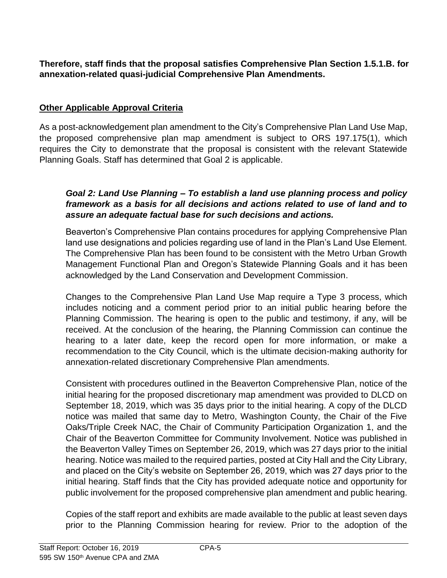**Therefore, staff finds that the proposal satisfies Comprehensive Plan Section 1.5.1.B. for annexation-related quasi-judicial Comprehensive Plan Amendments.**

## **Other Applicable Approval Criteria**

As a post-acknowledgement plan amendment to the City's Comprehensive Plan Land Use Map, the proposed comprehensive plan map amendment is subject to ORS 197.175(1), which requires the City to demonstrate that the proposal is consistent with the relevant Statewide Planning Goals. Staff has determined that Goal 2 is applicable.

## *Goal 2: Land Use Planning – To establish a land use planning process and policy framework as a basis for all decisions and actions related to use of land and to assure an adequate factual base for such decisions and actions.*

Beaverton's Comprehensive Plan contains procedures for applying Comprehensive Plan land use designations and policies regarding use of land in the Plan's Land Use Element. The Comprehensive Plan has been found to be consistent with the Metro Urban Growth Management Functional Plan and Oregon's Statewide Planning Goals and it has been acknowledged by the Land Conservation and Development Commission.

Changes to the Comprehensive Plan Land Use Map require a Type 3 process, which includes noticing and a comment period prior to an initial public hearing before the Planning Commission. The hearing is open to the public and testimony, if any, will be received. At the conclusion of the hearing, the Planning Commission can continue the hearing to a later date, keep the record open for more information, or make a recommendation to the City Council, which is the ultimate decision-making authority for annexation-related discretionary Comprehensive Plan amendments.

Consistent with procedures outlined in the Beaverton Comprehensive Plan, notice of the initial hearing for the proposed discretionary map amendment was provided to DLCD on September 18, 2019, which was 35 days prior to the initial hearing. A copy of the DLCD notice was mailed that same day to Metro, Washington County, the Chair of the Five Oaks/Triple Creek NAC, the Chair of Community Participation Organization 1, and the Chair of the Beaverton Committee for Community Involvement. Notice was published in the Beaverton Valley Times on September 26, 2019, which was 27 days prior to the initial hearing. Notice was mailed to the required parties, posted at City Hall and the City Library, and placed on the City's website on September 26, 2019, which was 27 days prior to the initial hearing. Staff finds that the City has provided adequate notice and opportunity for public involvement for the proposed comprehensive plan amendment and public hearing.

Copies of the staff report and exhibits are made available to the public at least seven days prior to the Planning Commission hearing for review. Prior to the adoption of the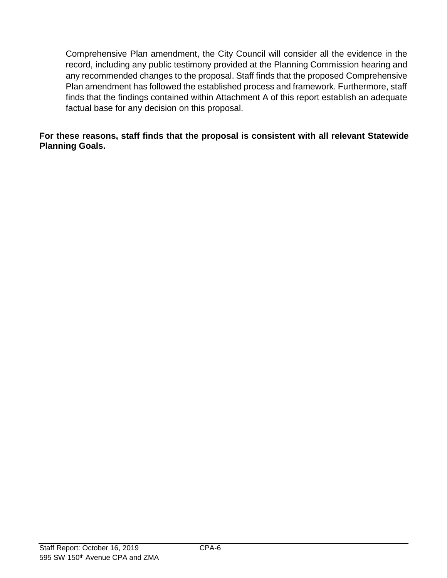Comprehensive Plan amendment, the City Council will consider all the evidence in the record, including any public testimony provided at the Planning Commission hearing and any recommended changes to the proposal. Staff finds that the proposed Comprehensive Plan amendment has followed the established process and framework. Furthermore, staff finds that the findings contained within Attachment A of this report establish an adequate factual base for any decision on this proposal.

### **For these reasons, staff finds that the proposal is consistent with all relevant Statewide Planning Goals.**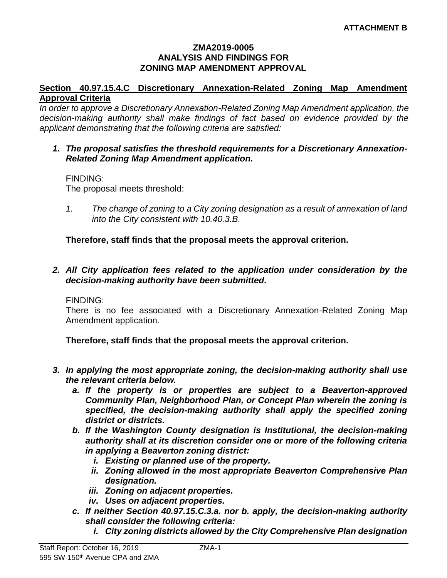#### **ZMA2019-0005 ANALYSIS AND FINDINGS FOR ZONING MAP AMENDMENT APPROVAL**

### **Section 40.97.15.4.C Discretionary Annexation-Related Zoning Map Amendment Approval Criteria**

*In order to approve a Discretionary Annexation-Related Zoning Map Amendment application, the decision-making authority shall make findings of fact based on evidence provided by the applicant demonstrating that the following criteria are satisfied:*

### *1. The proposal satisfies the threshold requirements for a Discretionary Annexation-Related Zoning Map Amendment application.*

### FINDING:

The proposal meets threshold:

*1. The change of zoning to a City zoning designation as a result of annexation of land into the City consistent with 10.40.3.B.*

**Therefore, staff finds that the proposal meets the approval criterion.**

*2. All City application fees related to the application under consideration by the decision-making authority have been submitted.*

## FINDING:

There is no fee associated with a Discretionary Annexation-Related Zoning Map Amendment application.

**Therefore, staff finds that the proposal meets the approval criterion.**

- *3. In applying the most appropriate zoning, the decision-making authority shall use the relevant criteria below.*
	- *a. If the property is or properties are subject to a Beaverton-approved Community Plan, Neighborhood Plan, or Concept Plan wherein the zoning is specified, the decision-making authority shall apply the specified zoning district or districts.*
	- *b. If the Washington County designation is Institutional, the decision-making authority shall at its discretion consider one or more of the following criteria in applying a Beaverton zoning district:*
		- *i. Existing or planned use of the property.*
		- *ii. Zoning allowed in the most appropriate Beaverton Comprehensive Plan designation.*
		- *iii. Zoning on adjacent properties.*
		- *iv. Uses on adjacent properties.*
	- *c. If neither Section 40.97.15.C.3.a. nor b. apply, the decision-making authority shall consider the following criteria:*
		- *i. City zoning districts allowed by the City Comprehensive Plan designation*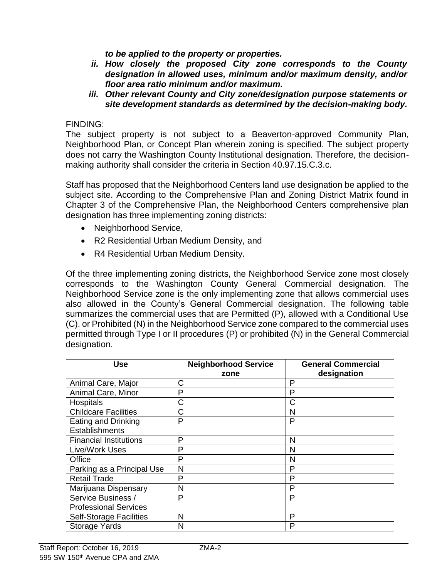*to be applied to the property or properties.* 

- *ii. How closely the proposed City zone corresponds to the County designation in allowed uses, minimum and/or maximum density, and/or floor area ratio minimum and/or maximum.*
- *iii. Other relevant County and City zone/designation purpose statements or site development standards as determined by the decision-making body.*

### FINDING:

The subject property is not subject to a Beaverton-approved Community Plan, Neighborhood Plan, or Concept Plan wherein zoning is specified. The subject property does not carry the Washington County Institutional designation. Therefore, the decisionmaking authority shall consider the criteria in Section 40.97.15.C.3.c.

Staff has proposed that the Neighborhood Centers land use designation be applied to the subject site. According to the Comprehensive Plan and Zoning District Matrix found in Chapter 3 of the Comprehensive Plan, the Neighborhood Centers comprehensive plan designation has three implementing zoning districts:

- Neighborhood Service,
- R2 Residential Urban Medium Density, and
- R4 Residential Urban Medium Density.

Of the three implementing zoning districts, the Neighborhood Service zone most closely corresponds to the Washington County General Commercial designation. The Neighborhood Service zone is the only implementing zone that allows commercial uses also allowed in the County's General Commercial designation. The following table summarizes the commercial uses that are Permitted (P), allowed with a Conditional Use (C). or Prohibited (N) in the Neighborhood Service zone compared to the commercial uses permitted through Type I or II procedures (P) or prohibited (N) in the General Commercial designation.

| Use                            | <b>Neighborhood Service</b><br>zone | <b>General Commercial</b><br>designation |
|--------------------------------|-------------------------------------|------------------------------------------|
| Animal Care, Major             | С                                   | P                                        |
| Animal Care, Minor             | P                                   | P                                        |
| Hospitals                      | C                                   | C                                        |
| <b>Childcare Facilities</b>    | С                                   | N                                        |
| Eating and Drinking            | P                                   | P                                        |
| <b>Establishments</b>          |                                     |                                          |
| <b>Financial Institutions</b>  | P                                   | N                                        |
| Live/Work Uses                 | P                                   | N                                        |
| Office                         | P                                   | N                                        |
| Parking as a Principal Use     | N                                   | Р                                        |
| <b>Retail Trade</b>            | P                                   | Р                                        |
| Marijuana Dispensary           | N                                   | P                                        |
| Service Business /             | P                                   | P                                        |
| <b>Professional Services</b>   |                                     |                                          |
| <b>Self-Storage Facilities</b> | N                                   | P                                        |
| <b>Storage Yards</b>           | N                                   | P                                        |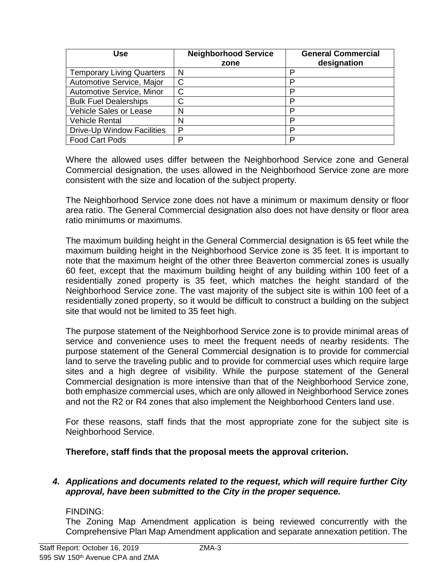| Use                              | <b>Neighborhood Service</b> | <b>General Commercial</b> |
|----------------------------------|-----------------------------|---------------------------|
|                                  | zone                        | designation               |
| <b>Temporary Living Quarters</b> | N                           | D                         |
| Automotive Service, Major        | C                           | D                         |
| Automotive Service, Minor        | C                           | P                         |
| <b>Bulk Fuel Dealerships</b>     | C                           | D                         |
| <b>Vehicle Sales or Lease</b>    | N                           | D                         |
| <b>Vehicle Rental</b>            | N                           | ח                         |
| Drive-Up Window Facilities       | P                           | D                         |
| Food Cart Pods                   | n                           | P                         |

Where the allowed uses differ between the Neighborhood Service zone and General Commercial designation, the uses allowed in the Neighborhood Service zone are more consistent with the size and location of the subject property.

The Neighborhood Service zone does not have a minimum or maximum density or floor area ratio. The General Commercial designation also does not have density or floor area ratio minimums or maximums.

The maximum building height in the General Commercial designation is 65 feet while the maximum building height in the Neighborhood Service zone is 35 feet. It is important to note that the maximum height of the other three Beaverton commercial zones is usually 60 feet, except that the maximum building height of any building within 100 feet of a residentially zoned property is 35 feet, which matches the height standard of the Neighborhood Service zone. The vast majority of the subject site is within 100 feet of a residentially zoned property, so it would be difficult to construct a building on the subject site that would not be limited to 35 feet high.

The purpose statement of the Neighborhood Service zone is to provide minimal areas of service and convenience uses to meet the frequent needs of nearby residents. The purpose statement of the General Commercial designation is to provide for commercial land to serve the traveling public and to provide for commercial uses which require large sites and a high degree of visibility. While the purpose statement of the General Commercial designation is more intensive than that of the Neighborhood Service zone, both emphasize commercial uses, which are only allowed in Neighborhood Service zones and not the R2 or R4 zones that also implement the Neighborhood Centers land use.

For these reasons, staff finds that the most appropriate zone for the subject site is Neighborhood Service.

## **Therefore, staff finds that the proposal meets the approval criterion.**

### *4. Applications and documents related to the request, which will require further City approval, have been submitted to the City in the proper sequence.*

### FINDING:

The Zoning Map Amendment application is being reviewed concurrently with the Comprehensive Plan Map Amendment application and separate annexation petition. The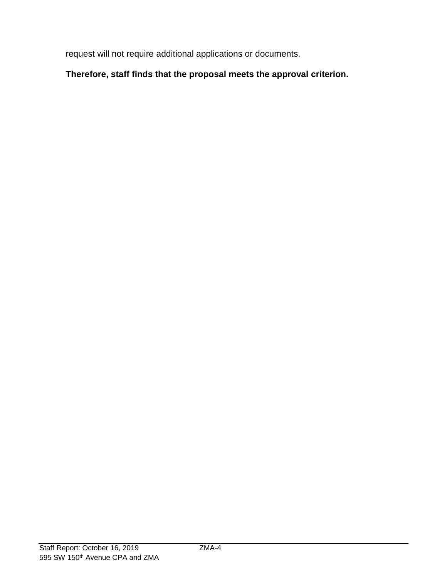request will not require additional applications or documents.

# **Therefore, staff finds that the proposal meets the approval criterion.**